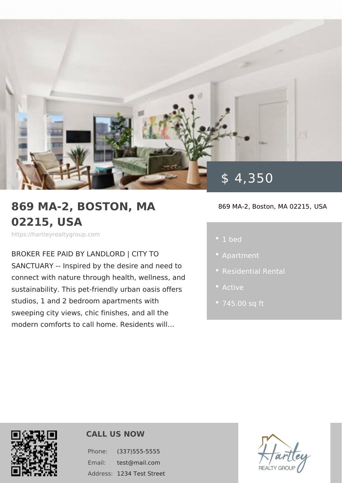# 869 MA-2, BOSTON, MA 02215, USA

https://hartleyrealtygroup.com

BROKER FEE PAID BY LANDLORD | CIT SANCTUARY -- Inspired by the desire a connect with nature through health, wel sustainability. This pet-friendly urban c studios, 1 and 2 bedroom apartments wi sweeping city views, chic finishes, and modern comforts to call home. Residents will&

\$ 4,350

869 MA-2, Boston, MAUS2A21

 $\cdot$  1 bed

- -
- 
- 

CALL US NOW

Phone: (337)555-5555 Email: test@mail.com Address: 234 Test Street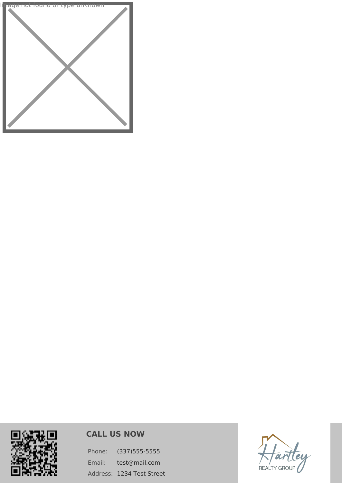



## **CALL US NOW**

Phone: (337)555-5555 Email: test@mail.com Address: 1234 Test Street

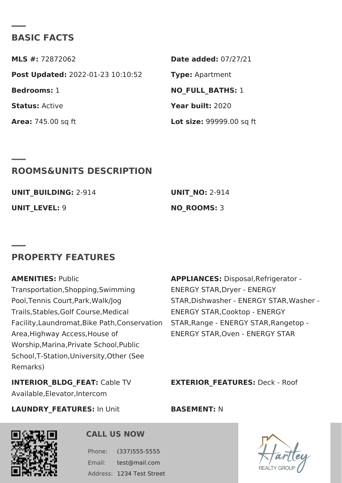#### BASIC FACTS

MLS #:72872062 Date added: 7/27/21 Post Update @022-01-23 10:10:52Type Apartment Bedrooms1 NO\_FULL\_BATHS: Status Active Year buil 2:020 Area: 745.00 sq ft Lot size 99999.00 sq ft

#### ROOMS&UNITS DESCRIPTION

| UNIT BUILDIN2G914 | $UNIT$ NO2:-914 |
|-------------------|-----------------|
| UNIT LEVESL:      | NO ROOMS:       |

#### PROPERTY FEATURES

AMENITIE Sublic Transportation, Shopping, Swimmid&NERGY STAR, Dryer - ENERGY Pool, Tennis Court, Park, Walk/JogSTAR, Dishwasher - ENERGY STAR, Trails,Stables,Golf Course,Medical ENERGY STAR,Cooktop - ENERGY Facility, Laundromat, Bike Path, C &nTs Ae Ry & almoge - ENERGY STAR, Rang Area,Highway Access,House of ENERGY STAR,Oven - ENERGY STAR Worship,Marina,Private School,Public School,T-Station,University,Other (See Remarks) APPLIANCESSisposal, Refrigerator -

INTERIOR\_BLDG\_FŒaAbTie TV Available,Elevator,Intercom EXTERIOR\_FEATURESK - Roof

LAUNDRY\_FEATURESUnit BASEMENTN:

CALL US NOW

Phone: (337)555-5555 Email: test@mail.com Address: 234 Test Street